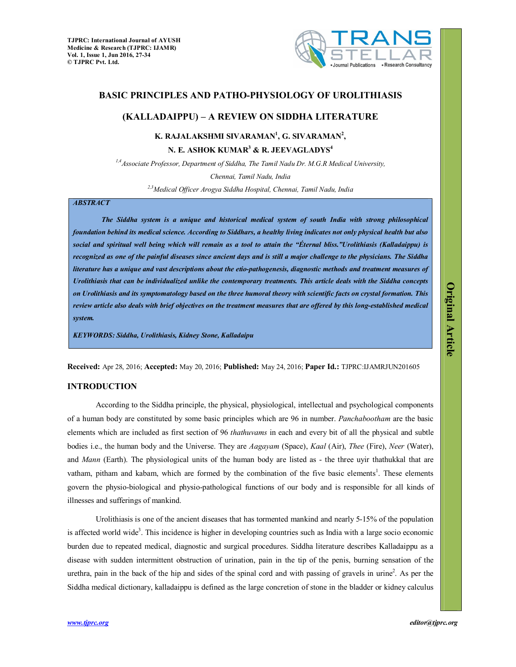

## **BASIC PRINCIPLES AND PATHO-PHYSIOLOGY OF UROLITHIASIS**

# **(KALLADAIPPU) – A REVIEW ON SIDDHA LITERATURE**

**K. RAJALAKSHMI SIVARAMAN<sup>1</sup> , G. SIVARAMAN<sup>2</sup> ,** 

**N. E. ASHOK KUMAR<sup>3</sup> & R. JEEVAGLADYS<sup>4</sup>**

*1,4Associate Professor, Department of Siddha, The Tamil Nadu Dr. M.G.R Medical University,*

*Chennai, Tamil Nadu, India*

*2,3Medical Officer Arogya Siddha Hospital, Chennai, Tamil Nadu, India*

### *ABSTRACT*

*The Siddha system is a unique and historical medical system of south India with strong philosophical foundation behind its medical science. According to Siddhars, a healthy living indicates not only physical health but also social and spiritual well being which will remain as a tool to attain the "Éternal bliss."Urolithiasis (Kalladaippu) is recognized as one of the painful diseases since ancient days and is still a major challenge to the physicians. The Siddha literature has a unique and vast descriptions about the etio-pathogenesis, diagnostic methods and treatment measures of Urolithiasis that can be individualized unlike the contemporary treatments. This article deals with the Siddha concepts on Urolithiasis and its symptomatology based on the three humoral theory with scientific facts on crystal formation. This review article also deals with brief objectives on the treatment measures that are offered by this long-established medical system.* 

*KEYWORDS: Siddha, Urolithiasis, Kidney Stone, Kalladaipu*

**Received:** Apr 28, 2016; **Accepted:** May 20, 2016; **Published:** May 24, 2016; **Paper Id.:** TJPRC:IJAMRJUN201605

## **INTRODUCTION**

According to the Siddha principle, the physical, physiological, intellectual and psychological components of a human body are constituted by some basic principles which are 96 in number. *Panchabootham* are the basic elements which are included as first section of 96 *thathuvams* in each and every bit of all the physical and subtle bodies i.e., the human body and the Universe. They are *Aagayam* (Space), *Kaal* (Air), *Thee* (Fire), *Neer* (Water), and *Mann* (Earth). The physiological units of the human body are listed as - the three uyir thathukkal that are vatham, pitham and kabam, which are formed by the combination of the five basic elements<sup>1</sup>. These elements govern the physio-biological and physio-pathological functions of our body and is responsible for all kinds of illnesses and sufferings of mankind.

Urolithiasis is one of the ancient diseases that has tormented mankind and nearly 5-15% of the population is affected world wide<sup>3</sup>. This incidence is higher in developing countries such as India with a large socio economic burden due to repeated medical, diagnostic and surgical procedures. Siddha literature describes Kalladaippu as a disease with sudden intermittent obstruction of urination, pain in the tip of the penis, burning sensation of the urethra, pain in the back of the hip and sides of the spinal cord and with passing of gravels in urine<sup>2</sup>. As per the Siddha medical dictionary, kalladaippu is defined as the large concretion of stone in the bladder or kidney calculus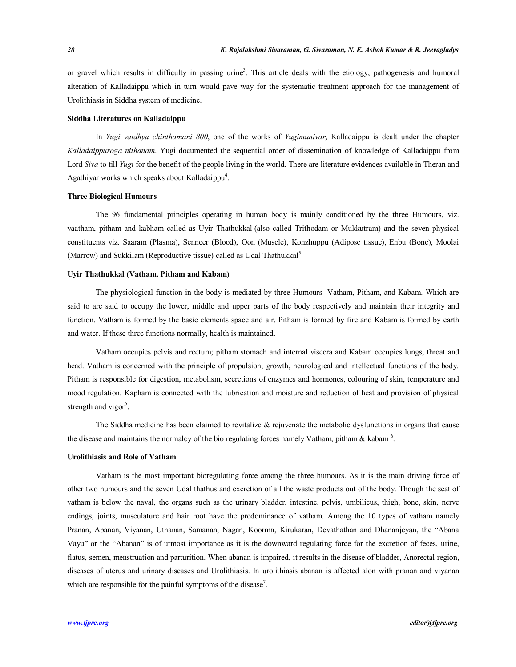or gravel which results in difficulty in passing urine<sup>3</sup>. This article deals with the etiology, pathogenesis and humoral alteration of Kalladaippu which in turn would pave way for the systematic treatment approach for the management of Urolithiasis in Siddha system of medicine.

#### **Siddha Literatures on Kalladaippu**

In *Yugi vaidhya chinthamani 800*, one of the works of *Yugimunivar,* Kalladaippu is dealt under the chapter *Kalladaippuroga nithanam*. Yugi documented the sequential order of dissemination of knowledge of Kalladaippu from Lord *Siva* to till *Yugi* for the benefit of the people living in the world. There are literature evidences available in Theran and Agathiyar works which speaks about Kalladaippu<sup>4</sup>.

### **Three Biological Humours**

The 96 fundamental principles operating in human body is mainly conditioned by the three Humours, viz. vaatham, pitham and kabham called as Uyir Thathukkal (also called Trithodam or Mukkutram) and the seven physical constituents viz. Saaram (Plasma), Senneer (Blood), Oon (Muscle), Konzhuppu (Adipose tissue), Enbu (Bone), Moolai (Marrow) and Sukkilam (Reproductive tissue) called as Udal Thathukkal<sup>5</sup>.

## **Uyir Thathukkal (Vatham, Pitham and Kabam)**

The physiological function in the body is mediated by three Humours- Vatham, Pitham, and Kabam. Which are said to are said to occupy the lower, middle and upper parts of the body respectively and maintain their integrity and function. Vatham is formed by the basic elements space and air. Pitham is formed by fire and Kabam is formed by earth and water. If these three functions normally, health is maintained.

Vatham occupies pelvis and rectum; pitham stomach and internal viscera and Kabam occupies lungs, throat and head. Vatham is concerned with the principle of propulsion, growth, neurological and intellectual functions of the body. Pitham is responsible for digestion, metabolism, secretions of enzymes and hormones, colouring of skin, temperature and mood regulation. Kapham is connected with the lubrication and moisture and reduction of heat and provision of physical strength and vigor<sup>5</sup>.

The Siddha medicine has been claimed to revitalize  $\&$  rejuvenate the metabolic dysfunctions in organs that cause the disease and maintains the normalcy of the bio regulating forces namely Vatham, pitham  $\&$  kabam<sup>6</sup>.

### **Urolithiasis and Role of Vatham**

Vatham is the most important bioregulating force among the three humours. As it is the main driving force of other two humours and the seven Udal thathus and excretion of all the waste products out of the body. Though the seat of vatham is below the naval, the organs such as the urinary bladder, intestine, pelvis, umbilicus, thigh, bone, skin, nerve endings, joints, musculature and hair root have the predominance of vatham. Among the 10 types of vatham namely Pranan, Abanan, Viyanan, Uthanan, Samanan, Nagan, Koormn, Kirukaran, Devathathan and Dhananjeyan, the "Abana Vayu" or the "Abanan" is of utmost importance as it is the downward regulating force for the excretion of feces, urine, flatus, semen, menstruation and parturition. When abanan is impaired, it results in the disease of bladder, Anorectal region, diseases of uterus and urinary diseases and Urolithiasis. In urolithiasis abanan is affected alon with pranan and viyanan which are responsible for the painful symptoms of the disease<sup>7</sup>.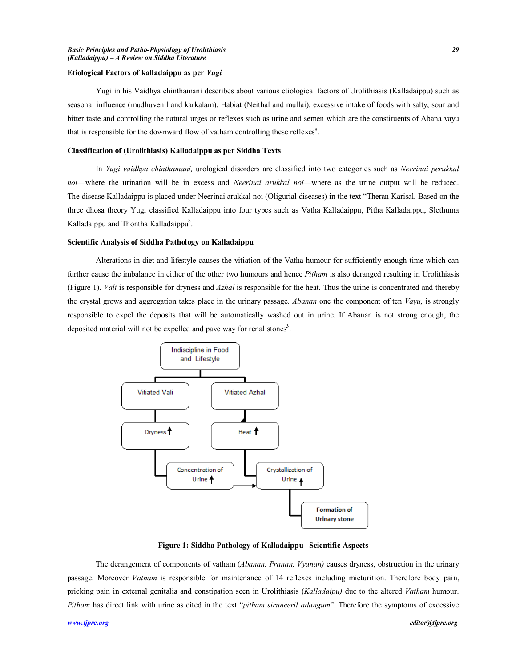#### **Etiological Factors of kalladaippu as per** *Yugi*

Yugi in his Vaidhya chinthamani describes about various etiological factors of Urolithiasis (Kalladaippu) such as seasonal influence (mudhuvenil and karkalam), Habiat (Neithal and mullai), excessive intake of foods with salty, sour and bitter taste and controlling the natural urges or reflexes such as urine and semen which are the constituents of Abana vayu that is responsible for the downward flow of vatham controlling these reflexes $8$ .

#### **Classification of (Urolithiasis) Kalladaippu as per Siddha Texts**

In *Yugi vaidhya chinthamani,* urological disorders are classified into two categories such as *Neerinai perukkal noi*—where the urination will be in excess and *Neerinai arukkal noi*—where as the urine output will be reduced. The disease Kalladaippu is placed under Neerinai arukkal noi (Oligurial diseases) in the text "Theran Karisal. Based on the three dhosa theory Yugi classified Kalladaippu into four types such as Vatha Kalladaippu, Pitha Kalladaippu, Slethuma Kalladaippu and Thontha Kalladaippu<sup>8</sup>.

## **Scientific Analysis of Siddha Pathology on Kalladaippu**

Alterations in diet and lifestyle causes the vitiation of the Vatha humour for sufficiently enough time which can further cause the imbalance in either of the other two humours and hence *Pitham* is also deranged resulting in Urolithiasis (Figure 1). *Vali* is responsible for dryness and *Azhal* is responsible for the heat. Thus the urine is concentrated and thereby the crystal grows and aggregation takes place in the urinary passage. *Abanan* one the component of ten *Vayu,* is strongly responsible to expel the deposits that will be automatically washed out in urine. If Abanan is not strong enough, the deposited material will not be expelled and pave way for renal stones**<sup>3</sup>** .



**Figure 1: Siddha Pathology of Kalladaippu –Scientific Aspects**

The derangement of components of vatham (*Abanan, Pranan, Vyanan)* causes dryness, obstruction in the urinary passage. Moreover *Vatham* is responsible for maintenance of 14 reflexes including micturition. Therefore body pain, pricking pain in external genitalia and constipation seen in Urolithiasis (*Kalladaipu)* due to the altered *Vatham* humour. *Pitham* has direct link with urine as cited in the text "*pitham siruneeril adangum*". Therefore the symptoms of excessive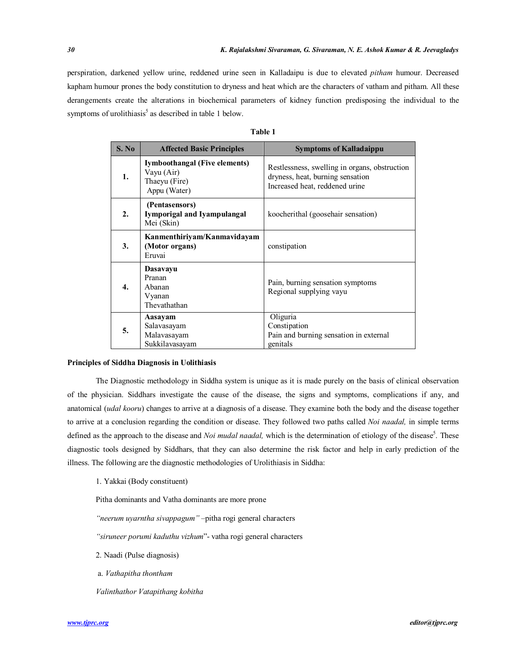perspiration, darkened yellow urine, reddened urine seen in Kalladaipu is due to elevated *pitham* humour. Decreased kapham humour prones the body constitution to dryness and heat which are the characters of vatham and pitham. All these derangements create the alterations in biochemical parameters of kidney function predisposing the individual to the symptoms of urolithiasis<sup>5</sup> as described in table 1 below.

| I<br>۱<br> |  |
|------------|--|
|------------|--|

| S. No | <b>Affected Basic Principles</b>                                                    | <b>Symptoms of Kalladaippu</b>                                                                                      |
|-------|-------------------------------------------------------------------------------------|---------------------------------------------------------------------------------------------------------------------|
| 1.    | <b>Iymboothangal (Five elements)</b><br>Vayu (Air)<br>Thaeyu (Fire)<br>Appu (Water) | Restlessness, swelling in organs, obstruction<br>dryness, heat, burning sensation<br>Increased heat, reddened urine |
| 2.    | (Pentasensors)<br>Iymporigal and Iyampulangal<br>Mei (Skin)                         | koocherithal (goosehair sensation)                                                                                  |
| 3.    | Kanmenthiriyam/Kanmavidayam<br>(Motor organs)<br>Eruvai                             | constipation                                                                                                        |
| 4.    | Dasavayu<br>Pranan<br>Abanan<br>Vyanan<br>Thevathathan                              | Pain, burning sensation symptoms<br>Regional supplying vayu                                                         |
| 5.    | Aasayam<br>Salavasayam<br>Malavasayam<br>Sukkilavasayam                             | Oliguria<br>Constipation<br>Pain and burning sensation in external<br>genitals                                      |

## **Principles of Siddha Diagnosis in Uolithiasis**

The Diagnostic methodology in Siddha system is unique as it is made purely on the basis of clinical observation of the physician. Siddhars investigate the cause of the disease, the signs and symptoms, complications if any, and anatomical (*udal kooru*) changes to arrive at a diagnosis of a disease. They examine both the body and the disease together to arrive at a conclusion regarding the condition or disease. They followed two paths called *Noi naadal,* in simple terms defined as the approach to the disease and *Noi mudal naadal*, which is the determination of etiology of the disease<sup>5</sup>. These diagnostic tools designed by Siddhars, that they can also determine the risk factor and help in early prediction of the illness. The following are the diagnostic methodologies of Urolithiasis in Siddha:

### 1. Yakkai (Body constituent)

Pitha dominants and Vatha dominants are more prone

*"neerum uyarntha sivappagum"* –pitha rogi general characters

*"siruneer porumi kaduthu vizhum*"- vatha rogi general characters

- 2. Naadi (Pulse diagnosis)
- a. *Vathapitha thontham*
- *Valinthathor Vatapithang kobitha*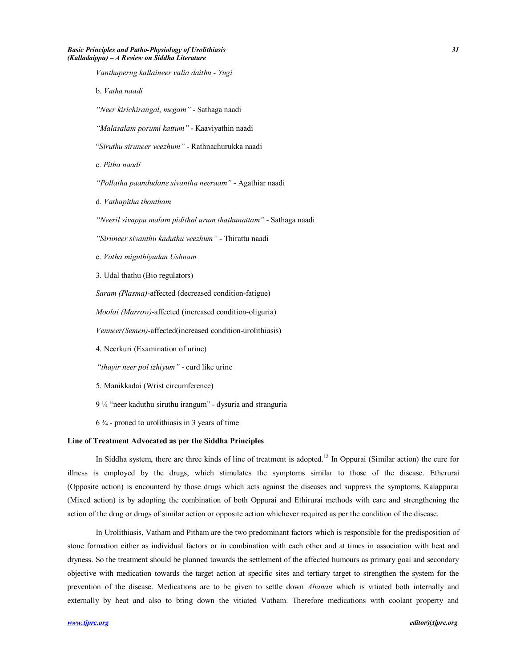*Vanthuperug kallaineer valia daithu - Yugi* b. *Vatha naadi "Neer kirichirangal, megam"* - Sathaga naadi *"Malasalam porumi kattum"* - Kaaviyathin naadi "*Siruthu siruneer veezhum"* - Rathnachurukka naadi c. *Pitha naadi "Pollatha paandudane sivantha neeraam"* - Agathiar naadi d. *Vathapitha thontham "Neeril sivappu malam pidithal urum thathunattam"* - Sathaga naadi *"Siruneer sivanthu kaduthu veezhum"* - Thirattu naadi e. *Vatha miguthiyudan Ushnam* 3. Udal thathu (Bio regulators) *Saram (Plasma)*-affected (decreased condition-fatigue) *Moolai (Marrow)*-affected (increased condition-oliguria) *Venneer(Semen)*-affected(increased condition-urolithiasis) 4. Neerkuri (Examination of urine) "*thayir neer pol izhiyum"* - curd like urine 5. Manikkadai (Wrist circumference)

9 ¼ "neer kaduthu siruthu irangum" - dysuria and stranguria

 $6\frac{3}{4}$  - proned to urolithiasis in 3 years of time

### **Line of Treatment Advocated as per the Siddha Principles**

In Siddha system, there are three kinds of line of treatment is adopted.<sup>12</sup> In Oppurai (Similar action) the cure for illness is employed by the drugs, which stimulates the symptoms similar to those of the disease. Etherurai (Opposite action) is encounterd by those drugs which acts against the diseases and suppress the symptoms. Kalappurai (Mixed action) is by adopting the combination of both Oppurai and Ethirurai methods with care and strengthening the action of the drug or drugs of similar action or opposite action whichever required as per the condition of the disease.

In Urolithiasis, Vatham and Pitham are the two predominant factors which is responsible for the predisposition of stone formation either as individual factors or in combination with each other and at times in association with heat and dryness. So the treatment should be planned towards the settlement of the affected humours as primary goal and secondary objective with medication towards the target action at specific sites and tertiary target to strengthen the system for the prevention of the disease. Medications are to be given to settle down *Abanan* which is vitiated both internally and externally by heat and also to bring down the vitiated Vatham. Therefore medications with coolant property and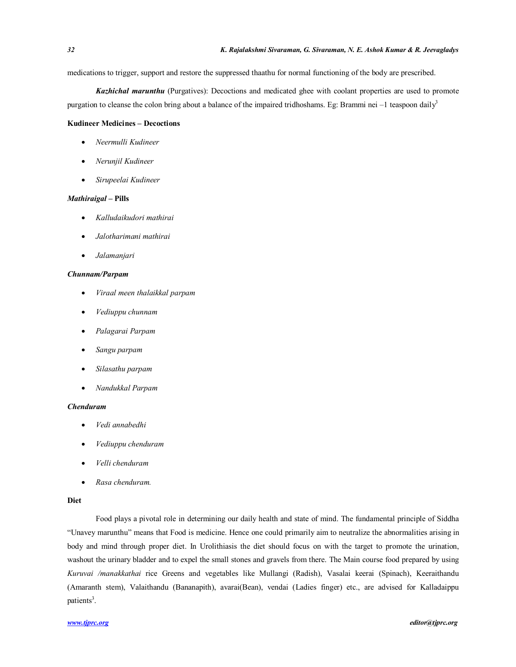medications to trigger, support and restore the suppressed thaathu for normal functioning of the body are prescribed.

*Kazhichal marunthu* (Purgatives): Decoctions and medicated ghee with coolant properties are used to promote purgation to cleanse the colon bring about a balance of the impaired tridhoshams. Eg: Brammi nei  $-1$  teaspoon daily<sup>3</sup>

## **Kudineer Medicines – Decoctions**

- *Neermulli Kudineer*
- *Nerunjil Kudineer*
- *Sirupeelai Kudineer*

## *Mathiraigal* **– Pills**

- *Kalludaikudori mathirai*
- *Jalotharimani mathirai*
- *Jalamanjari*

## *Chunnam/Parpam*

- *Viraal meen thalaikkal parpam*
- *Vediuppu chunnam*
- *Palagarai Parpam*
- *Sangu parpam*
- *Silasathu parpam*
- *Nandukkal Parpam*

### *Chenduram*

- *Vedi annabedhi*
- *Vediuppu chenduram*
- *Velli chenduram*
- *Rasa chenduram.*

## **Diet**

Food plays a pivotal role in determining our daily health and state of mind. The fundamental principle of Siddha "Unavey marunthu" means that Food is medicine. Hence one could primarily aim to neutralize the abnormalities arising in body and mind through proper diet. In Urolithiasis the diet should focus on with the target to promote the urination, washout the urinary bladder and to expel the small stones and gravels from there. The Main course food prepared by using *Kuruvai /manakkathai* rice Greens and vegetables like Mullangi (Radish), Vasalai keerai (Spinach), Keeraithandu (Amaranth stem), Valaithandu (Bananapith), avarai(Bean), vendai (Ladies finger) etc., are advised for Kalladaippu patients<sup>3</sup>.